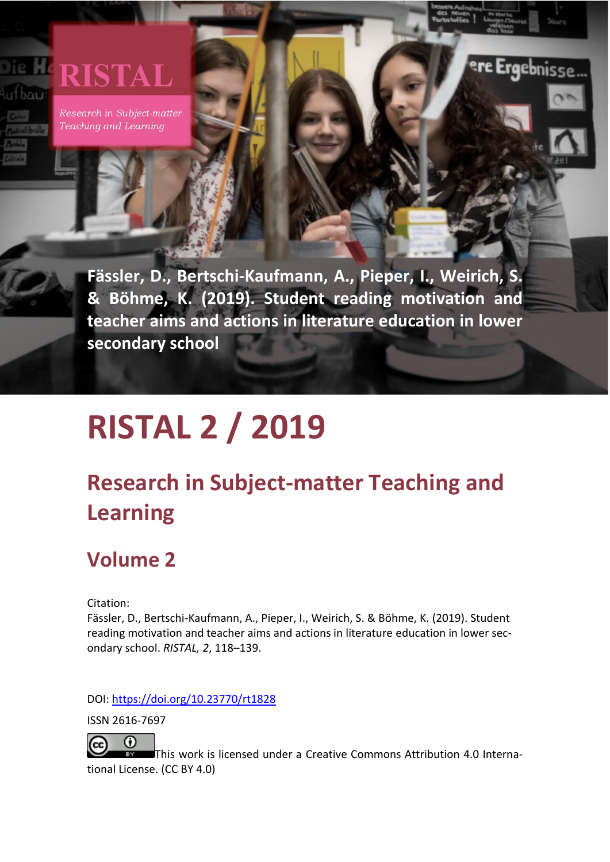# **RISTAL** ufbau

Research in Subject-matter Teaching and Learning

> **Fässler, D., Bertschi-Kaufmann, A., Pieper, I., Weirich, S. & Böhme, K. (2019). Student reading motivation and teacher aims and actions in literature education in lower secondary school**

**Ergebnisse** 

# **RISTAL 2 / 2019**

# **Research in Subject-matter Teaching and Learning**

# **Volume 2**

Citation:

Fässler, D., Bertschi-Kaufmann, A., Pieper, I., Weirich, S. & Böhme, K. (2019). Student reading motivation and teacher aims and actions in literature education in lower secondary school. *RISTAL, 2*, 118–139.

DOI: <https://doi.org/10.23770/rt1828>

ISSN 2616-7697

 $_{\odot}$  $\left(\mathrm{cc}\right)$ 

This work is licensed under a [Creative Commons Attribution 4.0 Interna](http://creativecommons.org/licenses/by/4.0/)[tional License.](http://creativecommons.org/licenses/by/4.0/) (CC BY 4.0)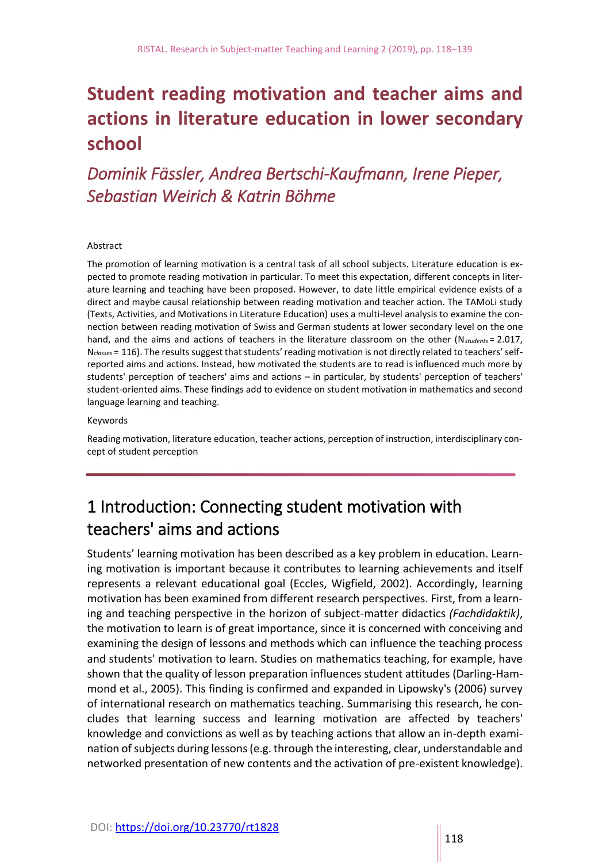# **Student reading motivation and teacher aims and actions in literature education in lower secondary school**

# *Dominik Fässler, Andrea Bertschi-Kaufmann, Irene Pieper, Sebastian Weirich & Katrin Böhme*

#### Abstract

The promotion of learning motivation is a central task of all school subjects. Literature education is expected to promote reading motivation in particular. To meet this expectation, different concepts in literature learning and teaching have been proposed. However, to date little empirical evidence exists of a direct and maybe causal relationship between reading motivation and teacher action. The TAMoLi study (Texts, Activities, and Motivations in Literature Education) uses a multi-level analysis to examine the connection between reading motivation of Swiss and German students at lower secondary level on the one hand, and the aims and actions of teachers in the literature classroom on the other (N*students* = 2.017, N*classes* = 116). The results suggest that students' reading motivation is not directly related to teachers' selfreported aims and actions. Instead, how motivated the students are to read is influenced much more by students' perception of teachers' aims and actions – in particular, by students' perception of teachers' student-oriented aims. These findings add to evidence on student motivation in mathematics and second language learning and teaching.

#### Keywords

Reading motivation, literature education, teacher actions, perception of instruction, interdisciplinary concept of student perception

# 1 Introduction: Connecting student motivation with teachers' aims and actions

Students' learning motivation has been described as a key problem in education. Learning motivation is important because it contributes to learning achievements and itself represents a relevant educational goal (Eccles, Wigfield, 2002). Accordingly, learning motivation has been examined from different research perspectives. First, from a learning and teaching perspective in the horizon of subject-matter didactics *(Fachdidaktik)*, the motivation to learn is of great importance, since it is concerned with conceiving and examining the design of lessons and methods which can influence the teaching process and students' motivation to learn. Studies on mathematics teaching, for example, have shown that the quality of lesson preparation influences student attitudes (Darling-Hammond et al., 2005). This finding is confirmed and expanded in Lipowsky's (2006) survey of international research on mathematics teaching. Summarising this research, he concludes that learning success and learning motivation are affected by teachers' knowledge and convictions as well as by teaching actions that allow an in-depth examination of subjects during lessons (e.g. through the interesting, clear, understandable and networked presentation of new contents and the activation of pre-existent knowledge).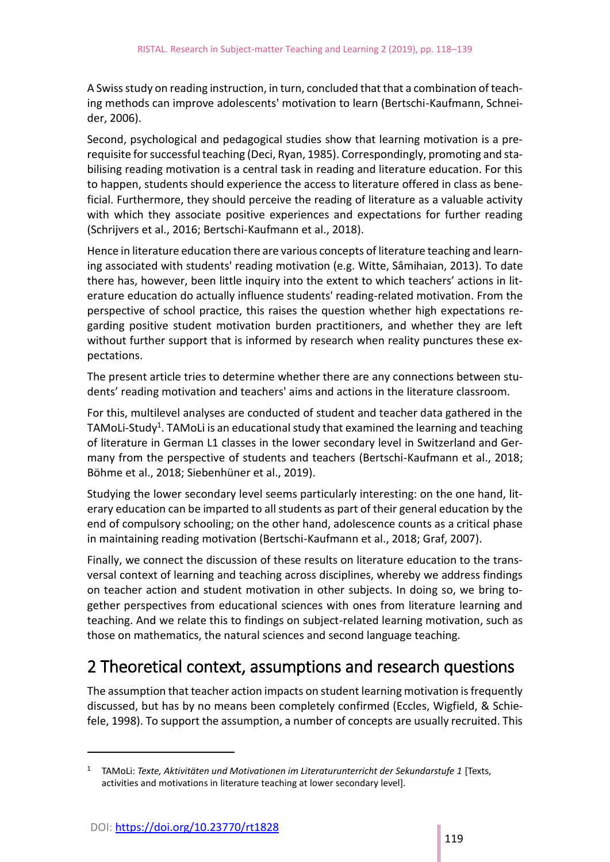A Swiss study on reading instruction, in turn, concluded that that a combination of teaching methods can improve adolescents' motivation to learn (Bertschi-Kaufmann, Schneider, 2006).

Second, psychological and pedagogical studies show that learning motivation is a prerequisite for successful teaching (Deci, Ryan, 1985). Correspondingly, promoting and stabilising reading motivation is a central task in reading and literature education. For this to happen, students should experience the access to literature offered in class as beneficial. Furthermore, they should perceive the reading of literature as a valuable activity with which they associate positive experiences and expectations for further reading (Schrijvers et al., 2016; Bertschi-Kaufmann et al., 2018).

Hence in literature education there are various concepts of literature teaching and learning associated with students' reading motivation (e.g. Witte, Sâmihaian, 2013). To date there has, however, been little inquiry into the extent to which teachers' actions in literature education do actually influence students' reading-related motivation. From the perspective of school practice, this raises the question whether high expectations regarding positive student motivation burden practitioners, and whether they are left without further support that is informed by research when reality punctures these expectations.

The present article tries to determine whether there are any connections between students' reading motivation and teachers' aims and actions in the literature classroom.

For this, multilevel analyses are conducted of student and teacher data gathered in the TAMoLi-Study<sup>1</sup>. TAMoLi is an educational study that examined the learning and teaching of literature in German L1 classes in the lower secondary level in Switzerland and Germany from the perspective of students and teachers (Bertschi-Kaufmann et al., 2018; Böhme et al., 2018; Siebenhüner et al., 2019).

Studying the lower secondary level seems particularly interesting: on the one hand, literary education can be imparted to all students as part of their general education by the end of compulsory schooling; on the other hand, adolescence counts as a critical phase in maintaining reading motivation (Bertschi-Kaufmann et al., 2018; Graf, 2007).

Finally, we connect the discussion of these results on literature education to the transversal context of learning and teaching across disciplines, whereby we address findings on teacher action and student motivation in other subjects. In doing so, we bring together perspectives from educational sciences with ones from literature learning and teaching. And we relate this to findings on subject-related learning motivation, such as those on mathematics, the natural sciences and second language teaching.

# 2 Theoretical context, assumptions and research questions

The assumption that teacher action impacts on student learning motivation is frequently discussed, but has by no means been completely confirmed (Eccles, Wigfield, & Schiefele, 1998). To support the assumption, a number of concepts are usually recruited. This

<u>.</u>

<sup>1</sup> TAMoLi: *Texte, Aktivitäten und Motivationen im Literaturunterricht der Sekundarstufe 1* [Texts, activities and motivations in literature teaching at lower secondary level].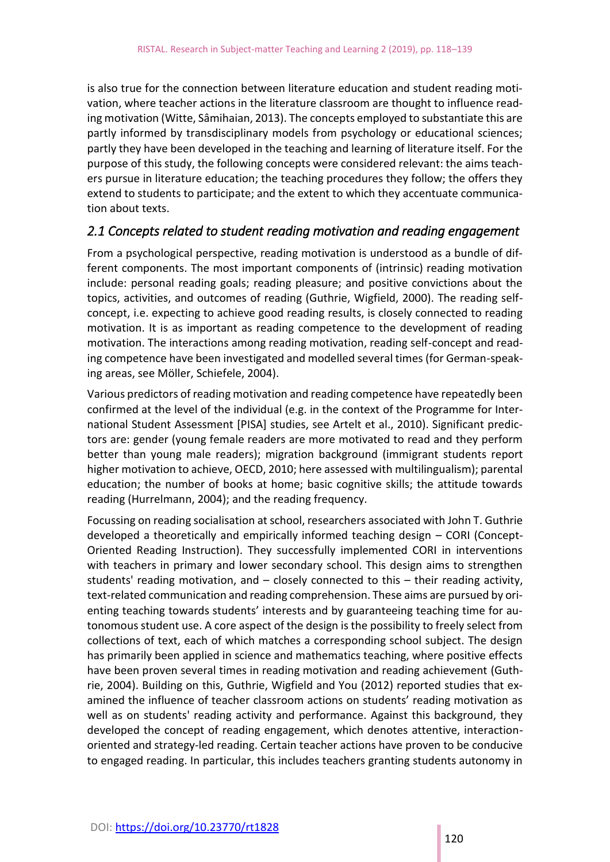is also true for the connection between literature education and student reading motivation, where teacher actions in the literature classroom are thought to influence reading motivation (Witte, Sâmihaian, 2013). The concepts employed to substantiate this are partly informed by transdisciplinary models from psychology or educational sciences; partly they have been developed in the teaching and learning of literature itself. For the purpose of this study, the following concepts were considered relevant: the aims teachers pursue in literature education; the teaching procedures they follow; the offers they extend to students to participate; and the extent to which they accentuate communication about texts.

#### *2.1 Concepts related to student reading motivation and reading engagement*

From a psychological perspective, reading motivation is understood as a bundle of different components. The most important components of (intrinsic) reading motivation include: personal reading goals; reading pleasure; and positive convictions about the topics, activities, and outcomes of reading (Guthrie, Wigfield, 2000). The reading selfconcept, i.e. expecting to achieve good reading results, is closely connected to reading motivation. It is as important as reading competence to the development of reading motivation. The interactions among reading motivation, reading self-concept and reading competence have been investigated and modelled several times (for German-speaking areas, see Möller, Schiefele, 2004).

Various predictors of reading motivation and reading competence have repeatedly been confirmed at the level of the individual (e.g. in the context of the Programme for International Student Assessment [PISA] studies, see Artelt et al., 2010). Significant predictors are: gender (young female readers are more motivated to read and they perform better than young male readers); migration background (immigrant students report higher motivation to achieve, OECD, 2010; here assessed with multilingualism); parental education; the number of books at home; basic cognitive skills; the attitude towards reading (Hurrelmann, 2004); and the reading frequency.

Focussing on reading socialisation at school, researchers associated with John T. Guthrie developed a theoretically and empirically informed teaching design – CORI (Concept-Oriented Reading Instruction). They successfully implemented CORI in interventions with teachers in primary and lower secondary school. This design aims to strengthen students' reading motivation, and – closely connected to this – their reading activity, text-related communication and reading comprehension. These aims are pursued by orienting teaching towards students' interests and by guaranteeing teaching time for autonomous student use. A core aspect of the design is the possibility to freely select from collections of text, each of which matches a corresponding school subject. The design has primarily been applied in science and mathematics teaching, where positive effects have been proven several times in reading motivation and reading achievement (Guthrie, 2004). Building on this, Guthrie, Wigfield and You (2012) reported studies that examined the influence of teacher classroom actions on students' reading motivation as well as on students' reading activity and performance. Against this background, they developed the concept of reading engagement, which denotes attentive, interactionoriented and strategy-led reading. Certain teacher actions have proven to be conducive to engaged reading. In particular, this includes teachers granting students autonomy in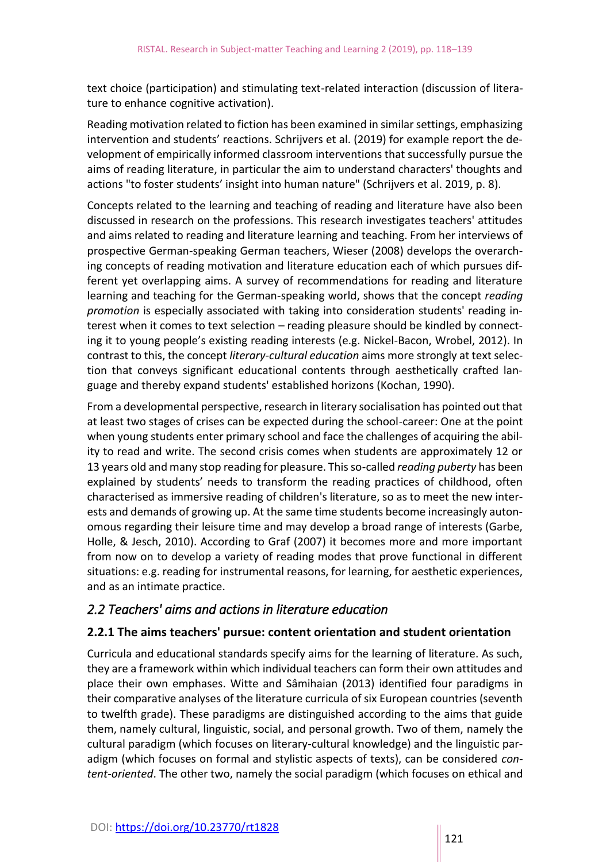text choice (participation) and stimulating text-related interaction (discussion of literature to enhance cognitive activation).

Reading motivation related to fiction has been examined in similar settings, emphasizing intervention and students' reactions. Schrijvers et al. (2019) for example report the development of empirically informed classroom interventions that successfully pursue the aims of reading literature, in particular the aim to understand characters' thoughts and actions "to foster students' insight into human nature" (Schrijvers et al. 2019, p. 8).

Concepts related to the learning and teaching of reading and literature have also been discussed in research on the professions. This research investigates teachers' attitudes and aims related to reading and literature learning and teaching. From her interviews of prospective German-speaking German teachers, Wieser (2008) develops the overarching concepts of reading motivation and literature education each of which pursues different yet overlapping aims. A survey of recommendations for reading and literature learning and teaching for the German-speaking world, shows that the concept *reading promotion* is especially associated with taking into consideration students' reading interest when it comes to text selection – reading pleasure should be kindled by connecting it to young people's existing reading interests (e.g. Nickel-Bacon, Wrobel, 2012). In contrast to this, the concept *literary-cultural education* aims more strongly at text selection that conveys significant educational contents through aesthetically crafted language and thereby expand students' established horizons (Kochan, 1990).

From a developmental perspective, research in literary socialisation has pointed out that at least two stages of crises can be expected during the school-career: One at the point when young students enter primary school and face the challenges of acquiring the ability to read and write. The second crisis comes when students are approximately 12 or 13 years old and many stop reading for pleasure. This so-called *reading puberty* has been explained by students' needs to transform the reading practices of childhood, often characterised as immersive reading of children's literature, so as to meet the new interests and demands of growing up. At the same time students become increasingly autonomous regarding their leisure time and may develop a broad range of interests (Garbe, Holle, & Jesch, 2010). According to Graf (2007) it becomes more and more important from now on to develop a variety of reading modes that prove functional in different situations: e.g. reading for instrumental reasons, for learning, for aesthetic experiences, and as an intimate practice.

#### *2.2 Teachers' aims and actions in literature education*

#### **2.2.1 The aims teachers' pursue: content orientation and student orientation**

Curricula and educational standards specify aims for the learning of literature. As such, they are a framework within which individual teachers can form their own attitudes and place their own emphases. Witte and Sâmihaian (2013) identified four paradigms in their comparative analyses of the literature curricula of six European countries (seventh to twelfth grade). These paradigms are distinguished according to the aims that guide them, namely cultural, linguistic, social, and personal growth. Two of them, namely the cultural paradigm (which focuses on literary-cultural knowledge) and the linguistic paradigm (which focuses on formal and stylistic aspects of texts), can be considered *content-oriented*. The other two, namely the social paradigm (which focuses on ethical and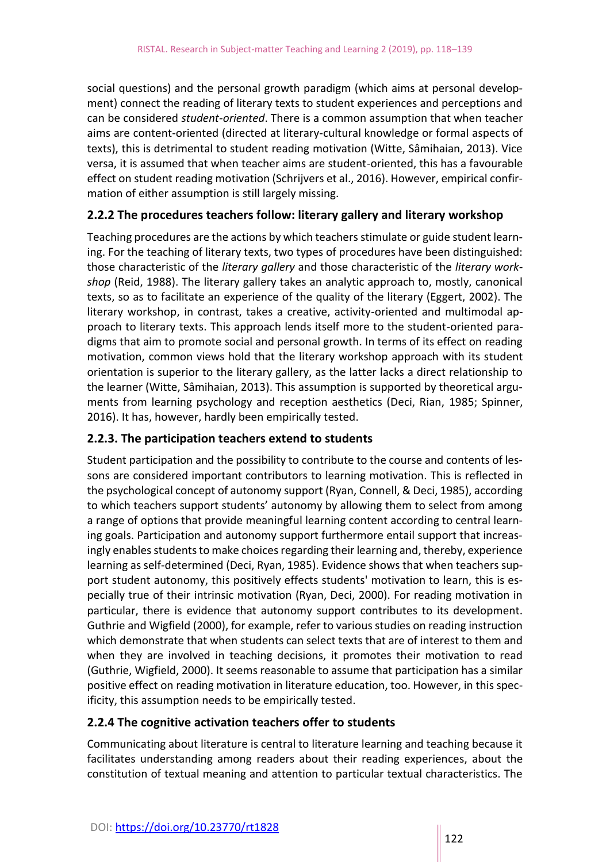social questions) and the personal growth paradigm (which aims at personal development) connect the reading of literary texts to student experiences and perceptions and can be considered *student-oriented*. There is a common assumption that when teacher aims are content-oriented (directed at literary-cultural knowledge or formal aspects of texts), this is detrimental to student reading motivation (Witte, Sâmihaian, 2013). Vice versa, it is assumed that when teacher aims are student-oriented, this has a favourable effect on student reading motivation (Schrijvers et al., 2016). However, empirical confirmation of either assumption is still largely missing.

#### **2.2.2 The procedures teachers follow: literary gallery and literary workshop**

Teaching procedures are the actions by which teachers stimulate or guide student learning. For the teaching of literary texts, two types of procedures have been distinguished: those characteristic of the *literary gallery* and those characteristic of the *literary workshop* (Reid, 1988). The literary gallery takes an analytic approach to, mostly, canonical texts, so as to facilitate an experience of the quality of the literary (Eggert, 2002). The literary workshop, in contrast, takes a creative, activity-oriented and multimodal approach to literary texts. This approach lends itself more to the student-oriented paradigms that aim to promote social and personal growth. In terms of its effect on reading motivation, common views hold that the literary workshop approach with its student orientation is superior to the literary gallery, as the latter lacks a direct relationship to the learner (Witte, Sâmihaian, 2013). This assumption is supported by theoretical arguments from learning psychology and reception aesthetics (Deci, Rian, 1985; Spinner, 2016). It has, however, hardly been empirically tested.

#### **2.2.3. The participation teachers extend to students**

Student participation and the possibility to contribute to the course and contents of lessons are considered important contributors to learning motivation. This is reflected in the psychological concept of autonomy support (Ryan, Connell, & Deci, 1985), according to which teachers support students' autonomy by allowing them to select from among a range of options that provide meaningful learning content according to central learning goals. Participation and autonomy support furthermore entail support that increasingly enables students to make choices regarding their learning and, thereby, experience learning as self-determined (Deci, Ryan, 1985). Evidence shows that when teachers support student autonomy, this positively effects students' motivation to learn, this is especially true of their intrinsic motivation (Ryan, Deci, 2000). For reading motivation in particular, there is evidence that autonomy support contributes to its development. Guthrie and Wigfield (2000), for example, refer to various studies on reading instruction which demonstrate that when students can select texts that are of interest to them and when they are involved in teaching decisions, it promotes their motivation to read (Guthrie, Wigfield, 2000). It seems reasonable to assume that participation has a similar positive effect on reading motivation in literature education, too. However, in this specificity, this assumption needs to be empirically tested.

#### **2.2.4 The cognitive activation teachers offer to students**

Communicating about literature is central to literature learning and teaching because it facilitates understanding among readers about their reading experiences, about the constitution of textual meaning and attention to particular textual characteristics. The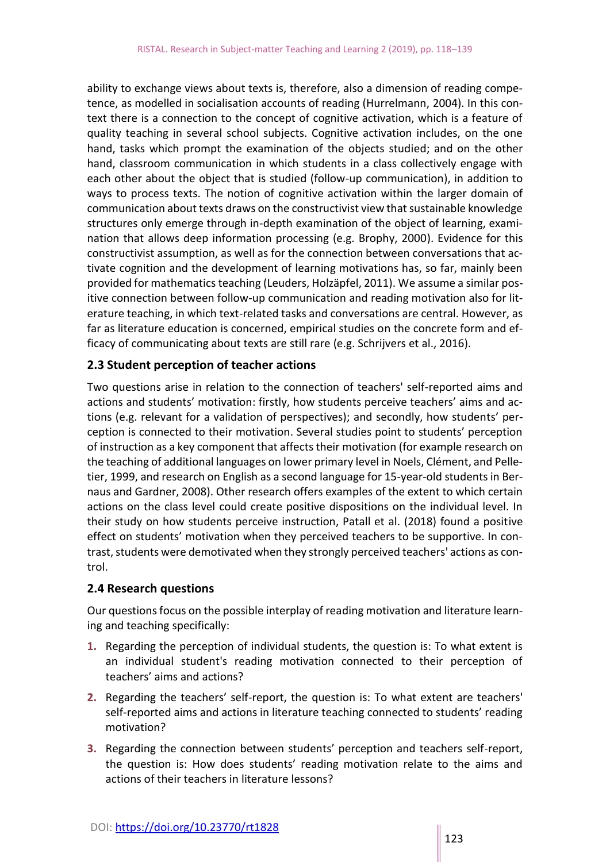ability to exchange views about texts is, therefore, also a dimension of reading competence, as modelled in socialisation accounts of reading (Hurrelmann, 2004). In this context there is a connection to the concept of cognitive activation, which is a feature of quality teaching in several school subjects. Cognitive activation includes, on the one hand, tasks which prompt the examination of the objects studied; and on the other hand, classroom communication in which students in a class collectively engage with each other about the object that is studied (follow-up communication), in addition to ways to process texts. The notion of cognitive activation within the larger domain of communication about texts draws on the constructivist view that sustainable knowledge structures only emerge through in-depth examination of the object of learning, examination that allows deep information processing (e.g. Brophy, 2000). Evidence for this constructivist assumption, as well as for the connection between conversations that activate cognition and the development of learning motivations has, so far, mainly been provided for mathematics teaching (Leuders, Holzäpfel, 2011). We assume a similar positive connection between follow-up communication and reading motivation also for literature teaching, in which text-related tasks and conversations are central. However, as far as literature education is concerned, empirical studies on the concrete form and efficacy of communicating about texts are still rare (e.g. Schrijvers et al., 2016).

#### **2.3 Student perception of teacher actions**

Two questions arise in relation to the connection of teachers' self-reported aims and actions and students' motivation: firstly, how students perceive teachers' aims and actions (e.g. relevant for a validation of perspectives); and secondly, how students' perception is connected to their motivation. Several studies point to students' perception of instruction as a key component that affects their motivation (for example research on the teaching of additional languages on lower primary level in Noels, Clément, and Pelletier, 1999, and research on English as a second language for 15-year-old students in Bernaus and Gardner, 2008). Other research offers examples of the extent to which certain actions on the class level could create positive dispositions on the individual level. In their study on how students perceive instruction, Patall et al. (2018) found a positive effect on students' motivation when they perceived teachers to be supportive. In contrast, students were demotivated when they strongly perceived teachers' actions as control.

#### **2.4 Research questions**

Our questions focus on the possible interplay of reading motivation and literature learning and teaching specifically:

- **1.** Regarding the perception of individual students, the question is: To what extent is an individual student's reading motivation connected to their perception of teachers' aims and actions?
- **2.** Regarding the teachers' self-report, the question is: To what extent are teachers' self-reported aims and actions in literature teaching connected to students' reading motivation?
- **3.** Regarding the connection between students' perception and teachers self-report, the question is: How does students' reading motivation relate to the aims and actions of their teachers in literature lessons?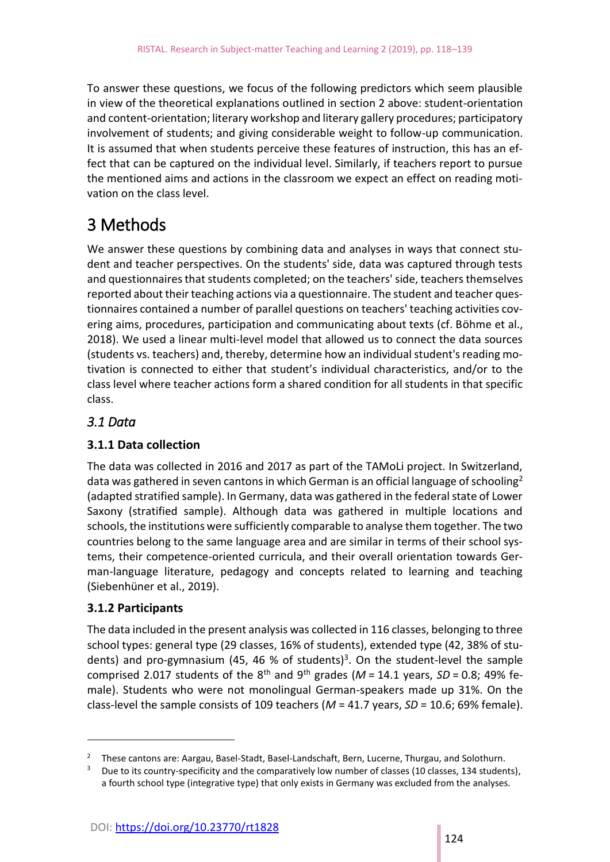To answer these questions, we focus of the following predictors which seem plausible in view of the theoretical explanations outlined in section 2 above: student-orientation and content-orientation; literary workshop and literary gallery procedures; participatory involvement of students; and giving considerable weight to follow-up communication. It is assumed that when students perceive these features of instruction, this has an effect that can be captured on the individual level. Similarly, if teachers report to pursue the mentioned aims and actions in the classroom we expect an effect on reading motivation on the class level.

# 3 Methods

We answer these questions by combining data and analyses in ways that connect student and teacher perspectives. On the students' side, data was captured through tests and questionnaires that students completed; on the teachers' side, teachers themselves reported about their teaching actions via a questionnaire. The student and teacher questionnaires contained a number of parallel questions on teachers' teaching activities covering aims, procedures, participation and communicating about texts (cf. Böhme et al., 2018). We used a linear multi-level model that allowed us to connect the data sources (students vs. teachers) and, thereby, determine how an individual student's reading motivation is connected to either that student's individual characteristics, and/or to the class level where teacher actions form a shared condition for all students in that specific class.

#### *3.1 Data*

#### **3.1.1 Data collection**

The data was collected in 2016 and 2017 as part of the TAMoLi project. In Switzerland, data was gathered in seven cantons in which German is an official language of schooling<sup>2</sup> (adapted stratified sample). In Germany, data was gathered in the federal state of Lower Saxony (stratified sample). Although data was gathered in multiple locations and schools, the institutions were sufficiently comparable to analyse them together. The two countries belong to the same language area and are similar in terms of their school systems, their competence-oriented curricula, and their overall orientation towards German-language literature, pedagogy and concepts related to learning and teaching (Siebenhüner et al., 2019).

#### **3.1.2 Participants**

<u>.</u>

The data included in the present analysis was collected in 116 classes, belonging to three school types: general type (29 classes, 16% of students), extended type (42, 38% of students) and pro-gymnasium (45, 46 % of students)<sup>3</sup>. On the student-level the sample comprised 2.017 students of the 8<sup>th</sup> and 9<sup>th</sup> grades ( $M = 14.1$  years,  $SD = 0.8$ ; 49% female). Students who were not monolingual German-speakers made up 31%. On the class-level the sample consists of 109 teachers (*M* = 41.7 years, *SD* = 10.6; 69% female).

<sup>&</sup>lt;sup>2</sup> These cantons are: Aargau, Basel-Stadt, Basel-Landschaft, Bern, Lucerne, Thurgau, and Solothurn.

<sup>&</sup>lt;sup>3</sup> Due to its country-specificity and the comparatively low number of classes (10 classes, 134 students), a fourth school type (integrative type) that only exists in Germany was excluded from the analyses.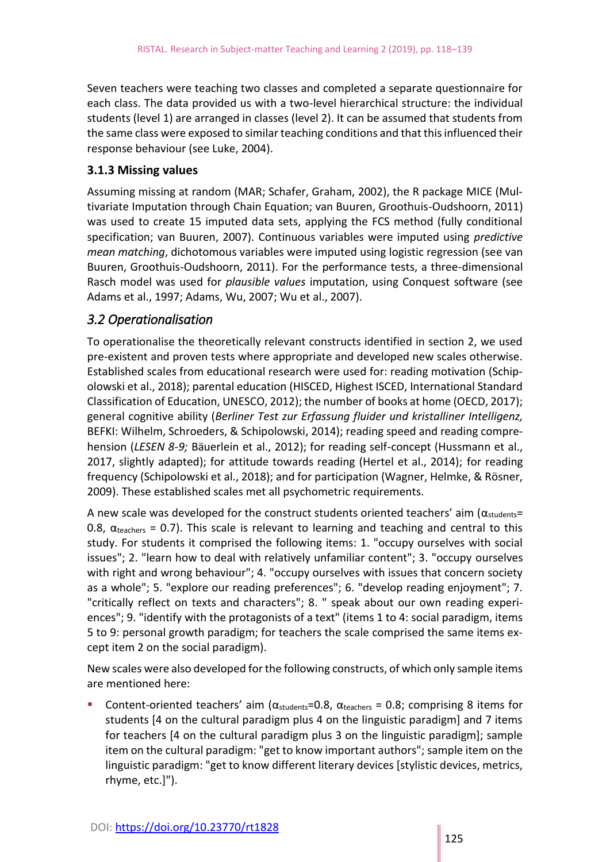Seven teachers were teaching two classes and completed a separate questionnaire for each class. The data provided us with a two-level hierarchical structure: the individual students (level 1) are arranged in classes (level 2). It can be assumed that students from the same class were exposed to similar teaching conditions and that this influenced their response behaviour (see Luke, 2004).

#### **3.1.3 Missing values**

Assuming missing at random (MAR; Schafer, Graham, 2002), the R package MICE (Multivariate Imputation through Chain Equation; van Buuren, Groothuis-Oudshoorn, 2011) was used to create 15 imputed data sets, applying the FCS method (fully conditional specification; van Buuren, 2007). Continuous variables were imputed using *predictive mean matching*, dichotomous variables were imputed using logistic regression (see van Buuren, Groothuis-Oudshoorn, 2011). For the performance tests, a three-dimensional Rasch model was used for *plausible values* imputation, using Conquest software (see Adams et al., 1997; Adams, Wu, 2007; Wu et al., 2007).

#### *3.2 Operationalisation*

To operationalise the theoretically relevant constructs identified in section 2, we used pre-existent and proven tests where appropriate and developed new scales otherwise. Established scales from educational research were used for: reading motivation (Schipolowski et al., 2018); parental education (HISCED, Highest ISCED, International Standard Classification of Education, UNESCO, 2012); the number of books at home (OECD, 2017); general cognitive ability (*Berliner Test zur Erfassung fluider und kristalliner Intelligenz,*  BEFKI: Wilhelm, Schroeders, & Schipolowski, 2014); reading speed and reading comprehension (*LESEN 8-9;* Bäuerlein et al., 2012); for reading self-concept (Hussmann et al., 2017, slightly adapted); for attitude towards reading (Hertel et al., 2014); for reading frequency (Schipolowski et al., 2018); and for participation (Wagner, Helmke, & Rösner, 2009). These established scales met all psychometric requirements.

A new scale was developed for the construct students oriented teachers' aim ( $\alpha_{students}$ = 0.8,  $\alpha_{\text{teachers}} = 0.7$ ). This scale is relevant to learning and teaching and central to this study. For students it comprised the following items: 1. "occupy ourselves with social issues"; 2. "learn how to deal with relatively unfamiliar content"; 3. "occupy ourselves with right and wrong behaviour"; 4. "occupy ourselves with issues that concern society as a whole"; 5. "explore our reading preferences"; 6. "develop reading enjoyment"; 7. "critically reflect on texts and characters"; 8. " speak about our own reading experiences"; 9. "identify with the protagonists of a text" (items 1 to 4: social paradigm, items 5 to 9: personal growth paradigm; for teachers the scale comprised the same items except item 2 on the social paradigm).

New scales were also developed for the following constructs, of which only sample items are mentioned here:

Content-oriented teachers' aim ( $\alpha_{\text{students}}$ =0.8,  $\alpha_{\text{teaches}}$  = 0.8; comprising 8 items for students [4 on the cultural paradigm plus 4 on the linguistic paradigm] and 7 items for teachers [4 on the cultural paradigm plus 3 on the linguistic paradigm]; sample item on the cultural paradigm: "get to know important authors"; sample item on the linguistic paradigm: "get to know different literary devices [stylistic devices, metrics, rhyme, etc.]").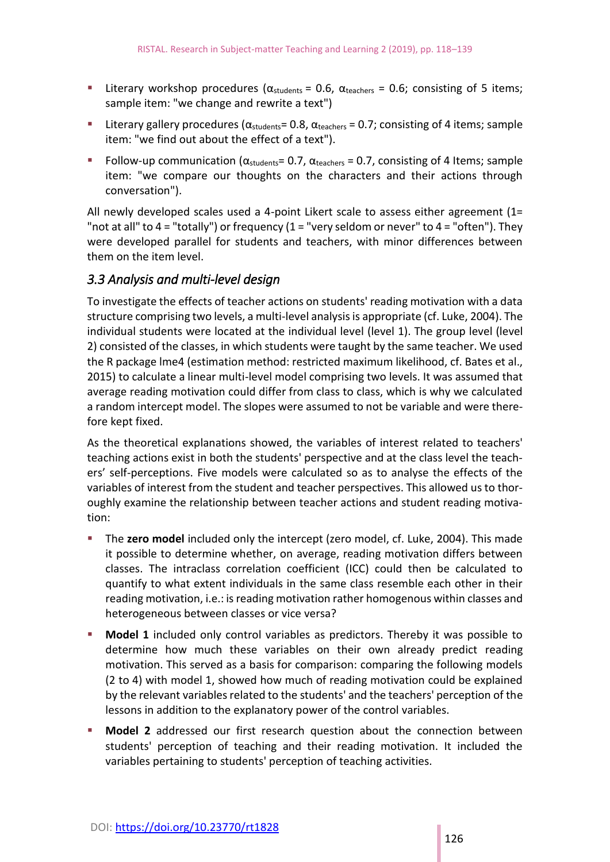- Literary workshop procedures ( $\alpha_{\text{students}} = 0.6$ ,  $\alpha_{\text{teaches}} = 0.6$ ; consisting of 5 items; sample item: "we change and rewrite a text")
- **Literary gallery procedures (** $\alpha_{\text{students}}$ **= 0.8,**  $\alpha_{\text{teaches}}$  **= 0.7; consisting of 4 items; sample** item: "we find out about the effect of a text").
- Follow-up communication ( $\alpha_{\text{students}}$ = 0.7,  $\alpha_{\text{teaches}}$  = 0.7, consisting of 4 Items; sample item: "we compare our thoughts on the characters and their actions through conversation").

All newly developed scales used a 4-point Likert scale to assess either agreement  $(1=$ "not at all" to 4 = "totally") or frequency (1 = "very seldom or never" to 4 = "often"). They were developed parallel for students and teachers, with minor differences between them on the item level.

#### *3.3 Analysis and multi-level design*

To investigate the effects of teacher actions on students' reading motivation with a data structure comprising two levels, a multi-level analysis is appropriate (cf. Luke, 2004). The individual students were located at the individual level (level 1). The group level (level 2) consisted of the classes, in which students were taught by the same teacher. We used the R package lme4 (estimation method: restricted maximum likelihood, cf. Bates et al., 2015) to calculate a linear multi-level model comprising two levels. It was assumed that average reading motivation could differ from class to class, which is why we calculated a random intercept model. The slopes were assumed to not be variable and were therefore kept fixed.

As the theoretical explanations showed, the variables of interest related to teachers' teaching actions exist in both the students' perspective and at the class level the teachers' self-perceptions. Five models were calculated so as to analyse the effects of the variables of interest from the student and teacher perspectives. This allowed us to thoroughly examine the relationship between teacher actions and student reading motivation:

- The **zero model** included only the intercept (zero model, cf. Luke, 2004). This made it possible to determine whether, on average, reading motivation differs between classes. The intraclass correlation coefficient (ICC) could then be calculated to quantify to what extent individuals in the same class resemble each other in their reading motivation, i.e.: is reading motivation rather homogenous within classes and heterogeneous between classes or vice versa?
- **Model 1** included only control variables as predictors. Thereby it was possible to determine how much these variables on their own already predict reading motivation. This served as a basis for comparison: comparing the following models (2 to 4) with model 1, showed how much of reading motivation could be explained by the relevant variables related to the students' and the teachers' perception of the lessons in addition to the explanatory power of the control variables.
- **Model 2** addressed our first research question about the connection between students' perception of teaching and their reading motivation. It included the variables pertaining to students' perception of teaching activities.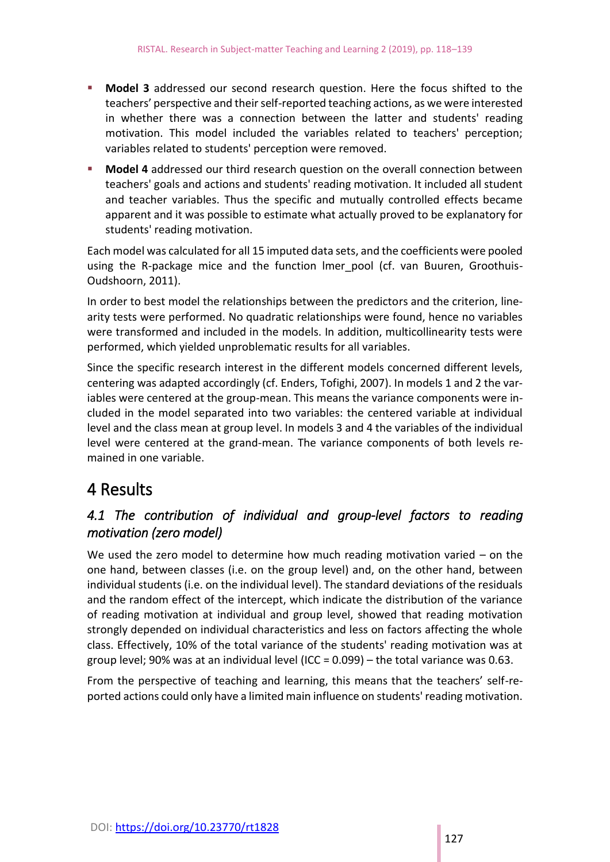- **Model 3** addressed our second research question. Here the focus shifted to the teachers' perspective and their self-reported teaching actions, as we were interested in whether there was a connection between the latter and students' reading motivation. This model included the variables related to teachers' perception; variables related to students' perception were removed.
- **Model 4** addressed our third research question on the overall connection between teachers' goals and actions and students' reading motivation. It included all student and teacher variables. Thus the specific and mutually controlled effects became apparent and it was possible to estimate what actually proved to be explanatory for students' reading motivation.

Each model was calculated for all 15 imputed data sets, and the coefficients were pooled using the R-package mice and the function lmer pool (cf. van Buuren, Groothuis-Oudshoorn, 2011).

In order to best model the relationships between the predictors and the criterion, linearity tests were performed. No quadratic relationships were found, hence no variables were transformed and included in the models. In addition, multicollinearity tests were performed, which yielded unproblematic results for all variables.

Since the specific research interest in the different models concerned different levels, centering was adapted accordingly (cf. Enders, Tofighi, 2007). In models 1 and 2 the variables were centered at the group-mean. This means the variance components were included in the model separated into two variables: the centered variable at individual level and the class mean at group level. In models 3 and 4 the variables of the individual level were centered at the grand-mean. The variance components of both levels remained in one variable.

# 4 Results

#### *4.1 The contribution of individual and group-level factors to reading motivation (zero model)*

We used the zero model to determine how much reading motivation varied – on the one hand, between classes (i.e. on the group level) and, on the other hand, between individual students (i.e. on the individual level). The standard deviations of the residuals and the random effect of the intercept, which indicate the distribution of the variance of reading motivation at individual and group level, showed that reading motivation strongly depended on individual characteristics and less on factors affecting the whole class. Effectively, 10% of the total variance of the students' reading motivation was at group level; 90% was at an individual level (ICC =  $0.099$ ) – the total variance was 0.63.

From the perspective of teaching and learning, this means that the teachers' self-reported actions could only have a limited main influence on students' reading motivation.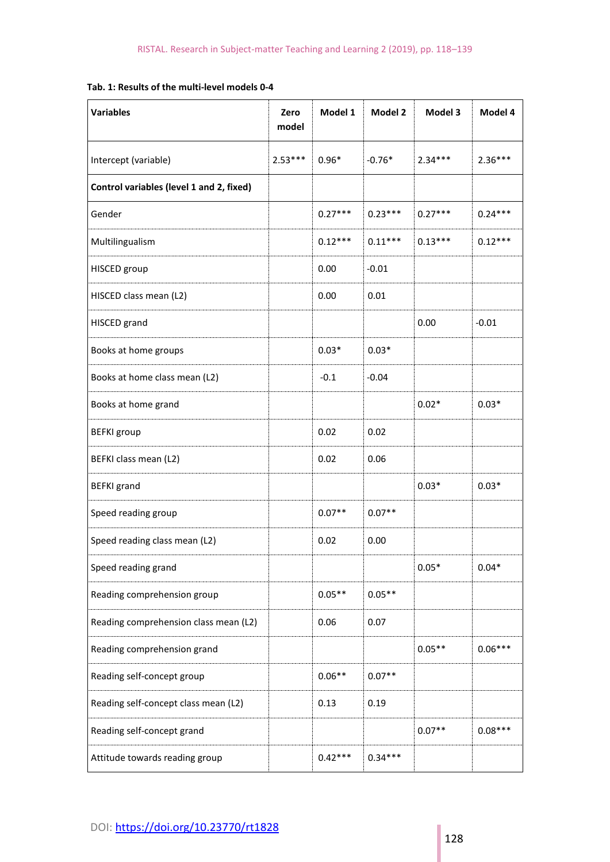#### **Tab. 1: Results of the multi-level models 0-4**

| <b>Variables</b>                         | Zero<br>model | Model 1   | Model 2   | Model 3   | Model 4   |
|------------------------------------------|---------------|-----------|-----------|-----------|-----------|
| Intercept (variable)                     | $2.53***$     | $0.96*$   | $-0.76*$  | $2.34***$ | $2.36***$ |
| Control variables (level 1 and 2, fixed) |               |           |           |           |           |
| Gender                                   |               | $0.27***$ | $0.23***$ | $0.27***$ | $0.24***$ |
| Multilingualism                          |               | $0.12***$ | $0.11***$ | $0.13***$ | $0.12***$ |
| HISCED group                             |               | 0.00      | $-0.01$   |           |           |
| HISCED class mean (L2)                   |               | 0.00      | 0.01      |           |           |
| HISCED grand                             |               |           |           | 0.00      | $-0.01$   |
| Books at home groups                     |               | $0.03*$   | $0.03*$   |           |           |
| Books at home class mean (L2)            |               | $-0.1$    | $-0.04$   |           |           |
| Books at home grand                      |               |           |           | $0.02*$   | $0.03*$   |
| <b>BEFKI</b> group                       |               | 0.02      | 0.02      |           |           |
| BEFKI class mean (L2)                    |               | 0.02      | 0.06      |           |           |
| <b>BEFKI</b> grand                       |               |           |           | $0.03*$   | $0.03*$   |
| Speed reading group                      |               | $0.07**$  | $0.07**$  |           |           |
| Speed reading class mean (L2)            |               | 0.02      | 0.00      |           |           |
| Speed reading grand                      |               |           |           | $0.05*$   | $0.04*$   |
| Reading comprehension group              |               | $0.05**$  | $0.05**$  |           |           |
| Reading comprehension class mean (L2)    |               | 0.06      | 0.07      |           |           |
| Reading comprehension grand              |               |           |           | $0.05**$  | $0.06***$ |
| Reading self-concept group               |               | $0.06**$  | $0.07**$  |           |           |
| Reading self-concept class mean (L2)     |               | 0.13      | 0.19      |           |           |
| Reading self-concept grand               |               |           |           | $0.07**$  | $0.08***$ |
| Attitude towards reading group           |               | $0.42***$ | $0.34***$ |           |           |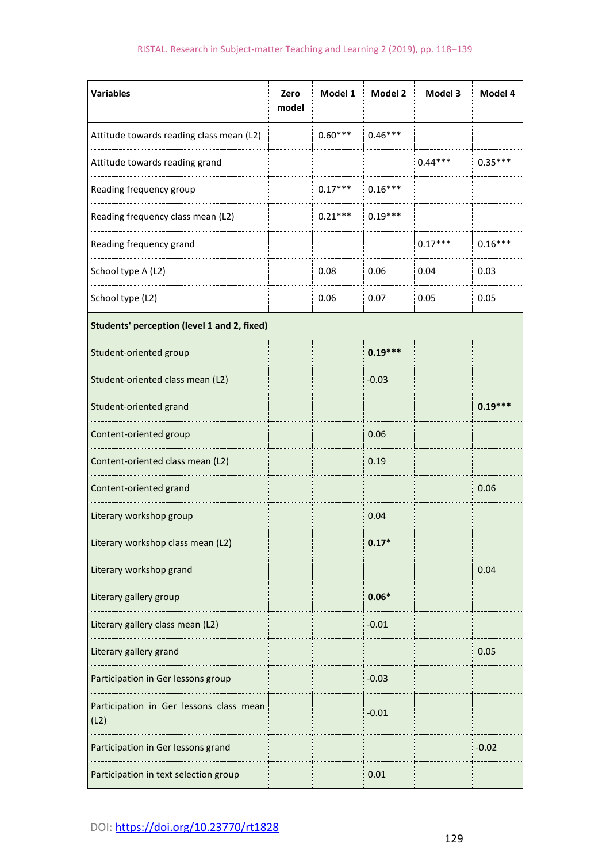| <b>Variables</b>                                | Zero<br>model | Model 1   | Model 2   | Model 3   | Model 4   |  |
|-------------------------------------------------|---------------|-----------|-----------|-----------|-----------|--|
| Attitude towards reading class mean (L2)        |               | $0.60***$ | $0.46***$ |           |           |  |
| Attitude towards reading grand                  |               |           |           | $0.44***$ | $0.35***$ |  |
| Reading frequency group                         |               | $0.17***$ | $0.16***$ |           |           |  |
| Reading frequency class mean (L2)               |               | $0.21***$ | $0.19***$ |           |           |  |
| Reading frequency grand                         |               |           |           | $0.17***$ | $0.16***$ |  |
| School type A (L2)                              |               | 0.08      | 0.06      | 0.04      | 0.03      |  |
| School type (L2)                                |               | 0.06      | 0.07      | 0.05      | 0.05      |  |
| Students' perception (level 1 and 2, fixed)     |               |           |           |           |           |  |
| Student-oriented group                          |               |           | $0.19***$ |           |           |  |
| Student-oriented class mean (L2)                |               |           | $-0.03$   |           |           |  |
| Student-oriented grand                          |               |           |           |           | $0.19***$ |  |
| Content-oriented group                          |               |           | 0.06      |           |           |  |
| Content-oriented class mean (L2)                |               |           | 0.19      |           |           |  |
| Content-oriented grand                          |               |           |           |           | 0.06      |  |
| Literary workshop group                         |               |           | 0.04      |           |           |  |
| Literary workshop class mean (L2)               |               |           | $0.17*$   |           |           |  |
| Literary workshop grand                         |               |           |           |           | 0.04      |  |
| Literary gallery group                          |               |           | $0.06*$   |           |           |  |
| Literary gallery class mean (L2)                |               |           | $-0.01$   |           |           |  |
| Literary gallery grand                          |               |           |           |           | 0.05      |  |
| Participation in Ger lessons group              |               |           | $-0.03$   |           |           |  |
| Participation in Ger lessons class mean<br>(L2) |               |           | $-0.01$   |           |           |  |
| Participation in Ger lessons grand              |               |           |           |           | $-0.02$   |  |
| Participation in text selection group           |               |           | 0.01      |           |           |  |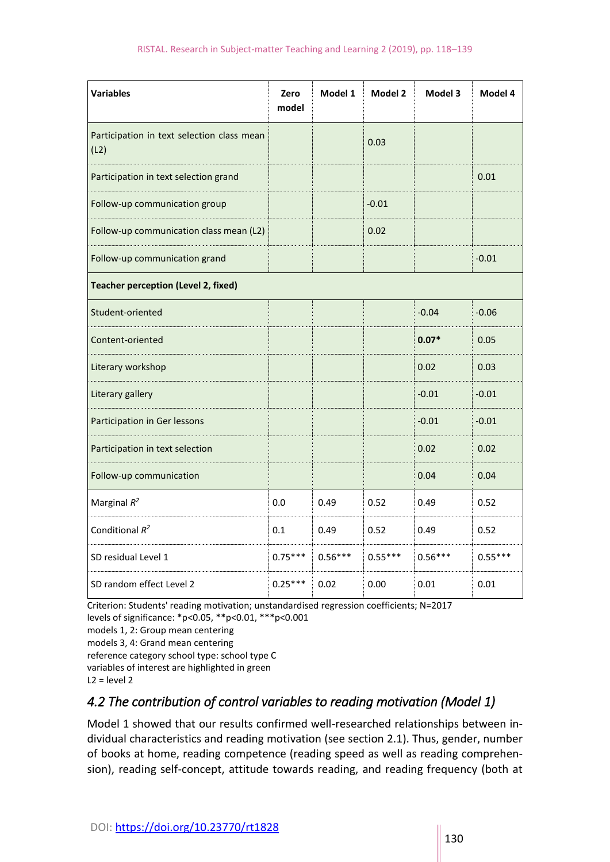| <b>Variables</b>                                   | Zero<br>model | Model 1   | Model 2   | Model 3   | Model 4   |  |
|----------------------------------------------------|---------------|-----------|-----------|-----------|-----------|--|
| Participation in text selection class mean<br>(L2) |               |           | 0.03      |           |           |  |
| Participation in text selection grand              |               |           |           |           | 0.01      |  |
| Follow-up communication group                      |               |           | $-0.01$   |           |           |  |
| Follow-up communication class mean (L2)            |               |           | 0.02      |           |           |  |
| Follow-up communication grand                      |               |           |           |           | $-0.01$   |  |
| <b>Teacher perception (Level 2, fixed)</b>         |               |           |           |           |           |  |
| Student-oriented                                   |               |           |           | $-0.04$   | $-0.06$   |  |
| Content-oriented                                   |               |           |           | $0.07*$   | 0.05      |  |
| Literary workshop                                  |               |           |           | 0.02      | 0.03      |  |
| Literary gallery                                   |               |           |           | $-0.01$   | $-0.01$   |  |
| Participation in Ger lessons                       |               |           |           | $-0.01$   | $-0.01$   |  |
| Participation in text selection                    |               |           |           | 0.02      | 0.02      |  |
| Follow-up communication                            |               |           |           | 0.04      | 0.04      |  |
| Marginal $R^2$                                     | 0.0           | 0.49      | 0.52      | 0.49      | 0.52      |  |
| Conditional $R^2$                                  | 0.1           | 0.49      | 0.52      | 0.49      | 0.52      |  |
| SD residual Level 1                                | $0.75***$     | $0.56***$ | $0.55***$ | $0.56***$ | $0.55***$ |  |
| SD random effect Level 2                           | $0.25***$     | 0.02      | 0.00      | 0.01      | 0.01      |  |

Criterion: Students' reading motivation; unstandardised regression coefficients; N=2017

levels of significance: \*p<0.05, \*\*p<0.01, \*\*\*p<0.001

```
models 1, 2: Group mean centering
```

```
models 3, 4: Grand mean centering
```
- reference category school type: school type C
- variables of interest are highlighted in green

```
L2 = level 2
```
### *4.2 The contribution of control variables to reading motivation (Model 1)*

Model 1 showed that our results confirmed well-researched relationships between individual characteristics and reading motivation (see section 2.1). Thus, gender, number of books at home, reading competence (reading speed as well as reading comprehension), reading self-concept, attitude towards reading, and reading frequency (both at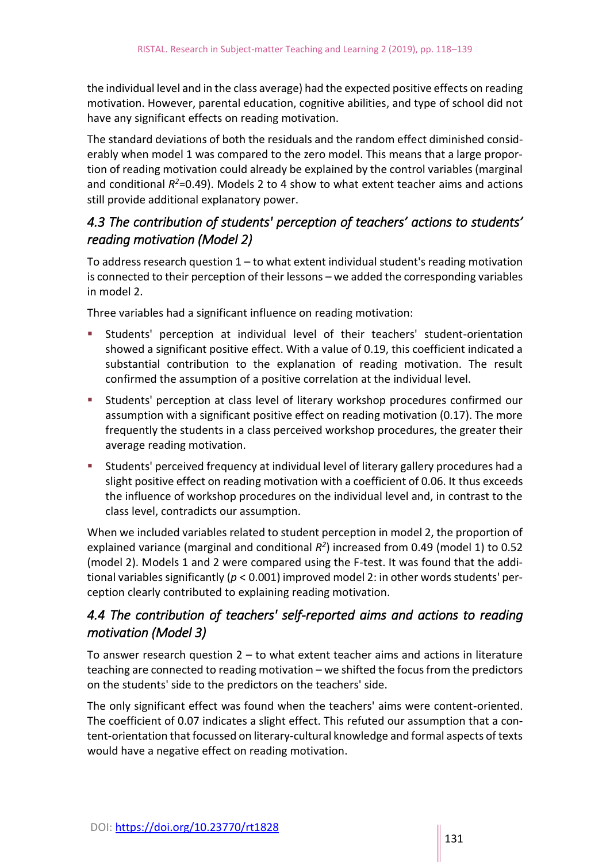the individual level and in the class average) had the expected positive effects on reading motivation. However, parental education, cognitive abilities, and type of school did not have any significant effects on reading motivation.

The standard deviations of both the residuals and the random effect diminished considerably when model 1 was compared to the zero model. This means that a large proportion of reading motivation could already be explained by the control variables (marginal and conditional *R <sup>2</sup>*=0.49). Models 2 to 4 show to what extent teacher aims and actions still provide additional explanatory power.

#### *4.3 The contribution of students' perception of teachers' actions to students' reading motivation (Model 2)*

To address research question  $1 -$  to what extent individual student's reading motivation is connected to their perception of their lessons – we added the corresponding variables in model 2.

Three variables had a significant influence on reading motivation:

- Students' perception at individual level of their teachers' student-orientation showed a significant positive effect. With a value of 0.19, this coefficient indicated a substantial contribution to the explanation of reading motivation. The result confirmed the assumption of a positive correlation at the individual level.
- Students' perception at class level of literary workshop procedures confirmed our assumption with a significant positive effect on reading motivation (0.17). The more frequently the students in a class perceived workshop procedures, the greater their average reading motivation.
- Students' perceived frequency at individual level of literary gallery procedures had a slight positive effect on reading motivation with a coefficient of 0.06. It thus exceeds the influence of workshop procedures on the individual level and, in contrast to the class level, contradicts our assumption.

When we included variables related to student perception in model 2, the proportion of explained variance (marginal and conditional  $R^2$ ) increased from 0.49 (model 1) to 0.52 (model 2). Models 1 and 2 were compared using the F-test. It was found that the additional variables significantly (*p* < 0.001) improved model 2: in other words students' perception clearly contributed to explaining reading motivation.

#### *4.4 The contribution of teachers' self-reported aims and actions to reading motivation (Model 3)*

To answer research question  $2 -$  to what extent teacher aims and actions in literature teaching are connected to reading motivation – we shifted the focus from the predictors on the students' side to the predictors on the teachers' side.

The only significant effect was found when the teachers' aims were content-oriented. The coefficient of 0.07 indicates a slight effect. This refuted our assumption that a content-orientation that focussed on literary-cultural knowledge and formal aspects of texts would have a negative effect on reading motivation.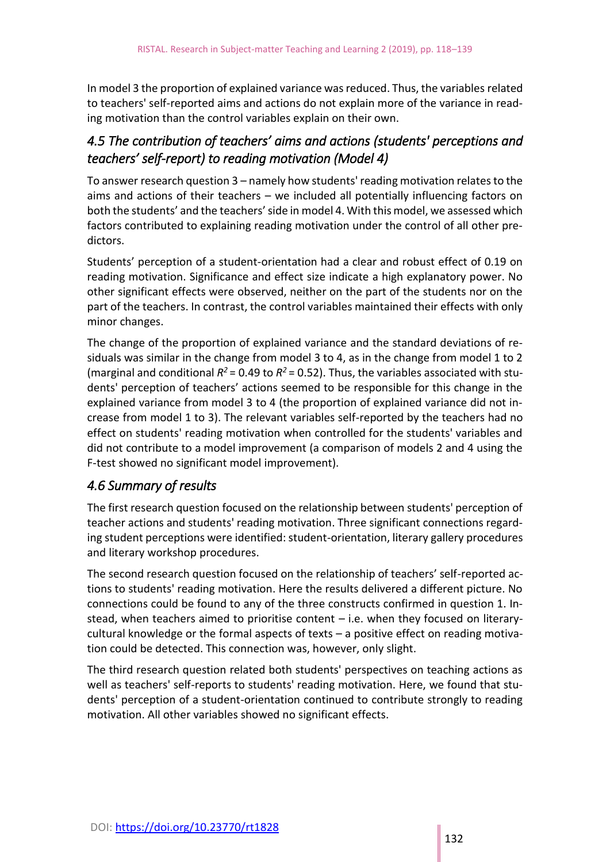In model 3 the proportion of explained variance was reduced. Thus, the variables related to teachers' self-reported aims and actions do not explain more of the variance in reading motivation than the control variables explain on their own.

#### *4.5 The contribution of teachers' aims and actions (students' perceptions and teachers' self-report) to reading motivation (Model 4)*

To answer research question 3 – namely how students' reading motivation relates to the aims and actions of their teachers – we included all potentially influencing factors on both the students' and the teachers' side in model 4. With this model, we assessed which factors contributed to explaining reading motivation under the control of all other predictors.

Students' perception of a student-orientation had a clear and robust effect of 0.19 on reading motivation. Significance and effect size indicate a high explanatory power. No other significant effects were observed, neither on the part of the students nor on the part of the teachers. In contrast, the control variables maintained their effects with only minor changes.

The change of the proportion of explained variance and the standard deviations of residuals was similar in the change from model 3 to 4, as in the change from model 1 to 2 (marginal and conditional  $R^2$  = 0.49 to  $R^2$  = 0.52). Thus, the variables associated with students' perception of teachers' actions seemed to be responsible for this change in the explained variance from model 3 to 4 (the proportion of explained variance did not increase from model 1 to 3). The relevant variables self-reported by the teachers had no effect on students' reading motivation when controlled for the students' variables and did not contribute to a model improvement (a comparison of models 2 and 4 using the F-test showed no significant model improvement).

#### *4.6 Summary of results*

The first research question focused on the relationship between students' perception of teacher actions and students' reading motivation. Three significant connections regarding student perceptions were identified: student-orientation, literary gallery procedures and literary workshop procedures.

The second research question focused on the relationship of teachers' self-reported actions to students' reading motivation. Here the results delivered a different picture. No connections could be found to any of the three constructs confirmed in question 1. Instead, when teachers aimed to prioritise content – i.e. when they focused on literarycultural knowledge or the formal aspects of texts – a positive effect on reading motivation could be detected. This connection was, however, only slight.

The third research question related both students' perspectives on teaching actions as well as teachers' self-reports to students' reading motivation. Here, we found that students' perception of a student-orientation continued to contribute strongly to reading motivation. All other variables showed no significant effects.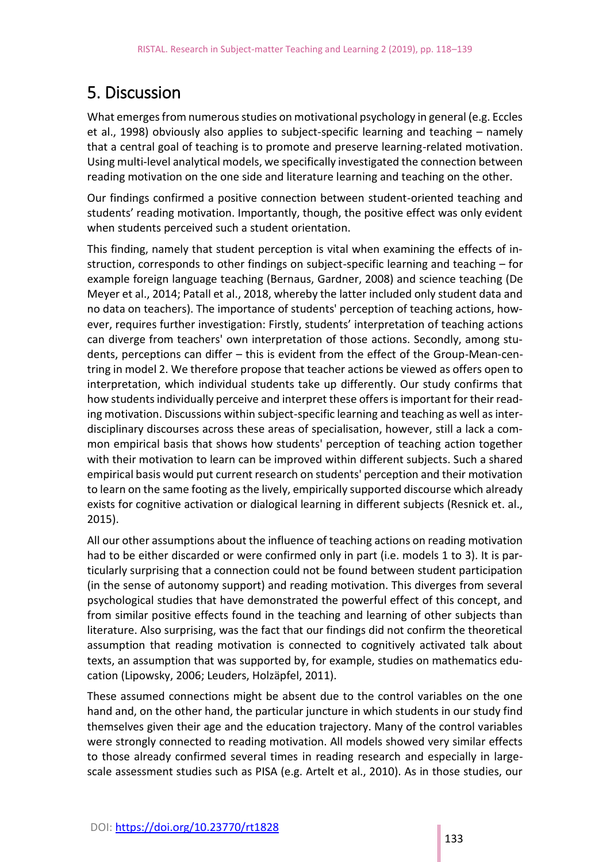# 5. Discussion

What emerges from numerous studies on motivational psychology in general (e.g. Eccles et al., 1998) obviously also applies to subject-specific learning and teaching – namely that a central goal of teaching is to promote and preserve learning-related motivation. Using multi-level analytical models, we specifically investigated the connection between reading motivation on the one side and literature learning and teaching on the other.

Our findings confirmed a positive connection between student-oriented teaching and students' reading motivation. Importantly, though, the positive effect was only evident when students perceived such a student orientation.

This finding, namely that student perception is vital when examining the effects of instruction, corresponds to other findings on subject-specific learning and teaching – for example foreign language teaching (Bernaus, Gardner, 2008) and science teaching (De Meyer et al., 2014; Patall et al., 2018, whereby the latter included only student data and no data on teachers). The importance of students' perception of teaching actions, however, requires further investigation: Firstly, students' interpretation of teaching actions can diverge from teachers' own interpretation of those actions. Secondly, among students, perceptions can differ – this is evident from the effect of the Group-Mean-centring in model 2. We therefore propose that teacher actions be viewed as offers open to interpretation, which individual students take up differently. Our study confirms that how students individually perceive and interpret these offers is important for their reading motivation. Discussions within subject-specific learning and teaching as well as interdisciplinary discourses across these areas of specialisation, however, still a lack a common empirical basis that shows how students' perception of teaching action together with their motivation to learn can be improved within different subjects. Such a shared empirical basis would put current research on students' perception and their motivation to learn on the same footing as the lively, empirically supported discourse which already exists for cognitive activation or dialogical learning in different subjects (Resnick et. al., 2015).

All our other assumptions about the influence of teaching actions on reading motivation had to be either discarded or were confirmed only in part (i.e. models 1 to 3). It is particularly surprising that a connection could not be found between student participation (in the sense of autonomy support) and reading motivation. This diverges from several psychological studies that have demonstrated the powerful effect of this concept, and from similar positive effects found in the teaching and learning of other subjects than literature. Also surprising, was the fact that our findings did not confirm the theoretical assumption that reading motivation is connected to cognitively activated talk about texts, an assumption that was supported by, for example, studies on mathematics education (Lipowsky, 2006; Leuders, Holzäpfel, 2011).

These assumed connections might be absent due to the control variables on the one hand and, on the other hand, the particular juncture in which students in our study find themselves given their age and the education trajectory. Many of the control variables were strongly connected to reading motivation. All models showed very similar effects to those already confirmed several times in reading research and especially in largescale assessment studies such as PISA (e.g. Artelt et al., 2010). As in those studies, our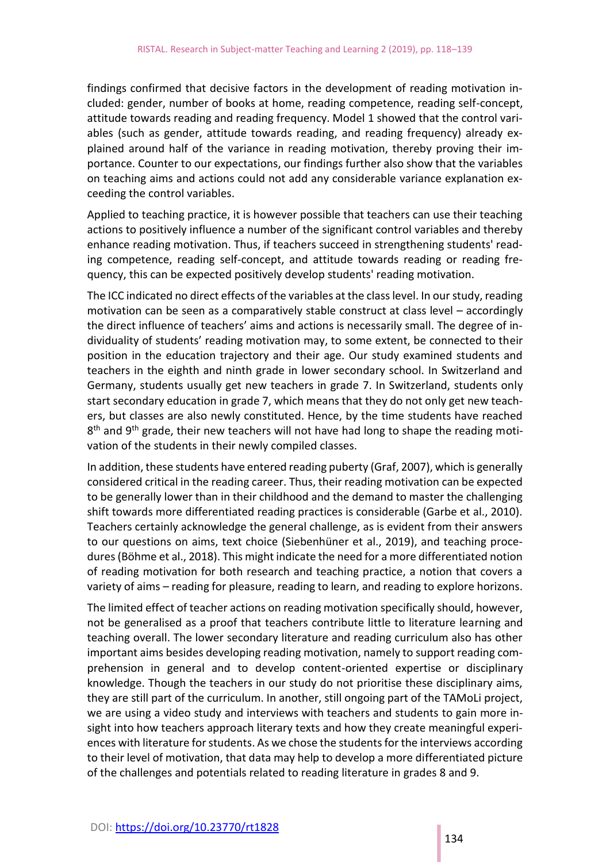findings confirmed that decisive factors in the development of reading motivation included: gender, number of books at home, reading competence, reading self-concept, attitude towards reading and reading frequency. Model 1 showed that the control variables (such as gender, attitude towards reading, and reading frequency) already explained around half of the variance in reading motivation, thereby proving their importance. Counter to our expectations, our findings further also show that the variables on teaching aims and actions could not add any considerable variance explanation exceeding the control variables.

Applied to teaching practice, it is however possible that teachers can use their teaching actions to positively influence a number of the significant control variables and thereby enhance reading motivation. Thus, if teachers succeed in strengthening students' reading competence, reading self-concept, and attitude towards reading or reading frequency, this can be expected positively develop students' reading motivation.

The ICC indicated no direct effects of the variables at the class level. In our study, reading motivation can be seen as a comparatively stable construct at class level – accordingly the direct influence of teachers' aims and actions is necessarily small. The degree of individuality of students' reading motivation may, to some extent, be connected to their position in the education trajectory and their age. Our study examined students and teachers in the eighth and ninth grade in lower secondary school. In Switzerland and Germany, students usually get new teachers in grade 7. In Switzerland, students only start secondary education in grade 7, which means that they do not only get new teachers, but classes are also newly constituted. Hence, by the time students have reached 8<sup>th</sup> and 9<sup>th</sup> grade, their new teachers will not have had long to shape the reading motivation of the students in their newly compiled classes.

In addition, these students have entered reading puberty (Graf, 2007), which is generally considered critical in the reading career. Thus, their reading motivation can be expected to be generally lower than in their childhood and the demand to master the challenging shift towards more differentiated reading practices is considerable (Garbe et al., 2010). Teachers certainly acknowledge the general challenge, as is evident from their answers to our questions on aims, text choice (Siebenhüner et al., 2019), and teaching procedures (Böhme et al., 2018). This might indicate the need for a more differentiated notion of reading motivation for both research and teaching practice, a notion that covers a variety of aims – reading for pleasure, reading to learn, and reading to explore horizons.

The limited effect of teacher actions on reading motivation specifically should, however, not be generalised as a proof that teachers contribute little to literature learning and teaching overall. The lower secondary literature and reading curriculum also has other important aims besides developing reading motivation, namely to support reading comprehension in general and to develop content-oriented expertise or disciplinary knowledge. Though the teachers in our study do not prioritise these disciplinary aims, they are still part of the curriculum. In another, still ongoing part of the TAMoLi project, we are using a video study and interviews with teachers and students to gain more insight into how teachers approach literary texts and how they create meaningful experiences with literature for students. As we chose the students for the interviews according to their level of motivation, that data may help to develop a more differentiated picture of the challenges and potentials related to reading literature in grades 8 and 9.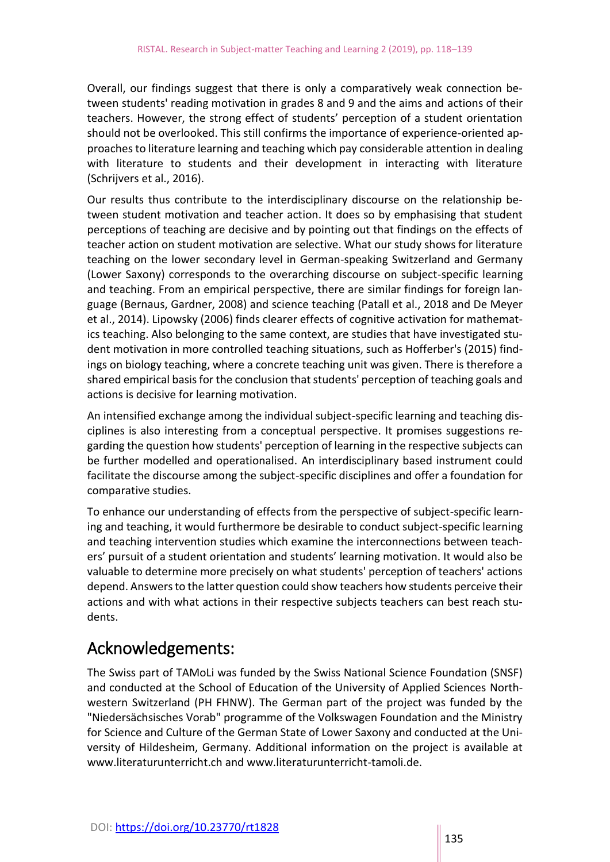Overall, our findings suggest that there is only a comparatively weak connection between students' reading motivation in grades 8 and 9 and the aims and actions of their teachers. However, the strong effect of students' perception of a student orientation should not be overlooked. This still confirms the importance of experience-oriented approaches to literature learning and teaching which pay considerable attention in dealing with literature to students and their development in interacting with literature (Schrijvers et al., 2016).

Our results thus contribute to the interdisciplinary discourse on the relationship between student motivation and teacher action. It does so by emphasising that student perceptions of teaching are decisive and by pointing out that findings on the effects of teacher action on student motivation are selective. What our study shows for literature teaching on the lower secondary level in German-speaking Switzerland and Germany (Lower Saxony) corresponds to the overarching discourse on subject-specific learning and teaching. From an empirical perspective, there are similar findings for foreign language (Bernaus, Gardner, 2008) and science teaching (Patall et al., 2018 and De Meyer et al., 2014). Lipowsky (2006) finds clearer effects of cognitive activation for mathematics teaching. Also belonging to the same context, are studies that have investigated student motivation in more controlled teaching situations, such as Hofferber's (2015) findings on biology teaching, where a concrete teaching unit was given. There is therefore a shared empirical basis for the conclusion that students' perception of teaching goals and actions is decisive for learning motivation.

An intensified exchange among the individual subject-specific learning and teaching disciplines is also interesting from a conceptual perspective. It promises suggestions regarding the question how students' perception of learning in the respective subjects can be further modelled and operationalised. An interdisciplinary based instrument could facilitate the discourse among the subject-specific disciplines and offer a foundation for comparative studies.

To enhance our understanding of effects from the perspective of subject-specific learning and teaching, it would furthermore be desirable to conduct subject-specific learning and teaching intervention studies which examine the interconnections between teachers' pursuit of a student orientation and students' learning motivation. It would also be valuable to determine more precisely on what students' perception of teachers' actions depend. Answers to the latter question could show teachers how students perceive their actions and with what actions in their respective subjects teachers can best reach students.

# Acknowledgements:

The Swiss part of TAMoLi was funded by the Swiss National Science Foundation (SNSF) and conducted at the School of Education of the University of Applied Sciences Northwestern Switzerland (PH FHNW). The German part of the project was funded by the "Niedersächsisches Vorab" programme of the Volkswagen Foundation and the Ministry for Science and Culture of the German State of Lower Saxony and conducted at the University of Hildesheim, Germany. Additional information on the project is available at www.literaturunterricht.ch and www.literaturunterricht-tamoli.de.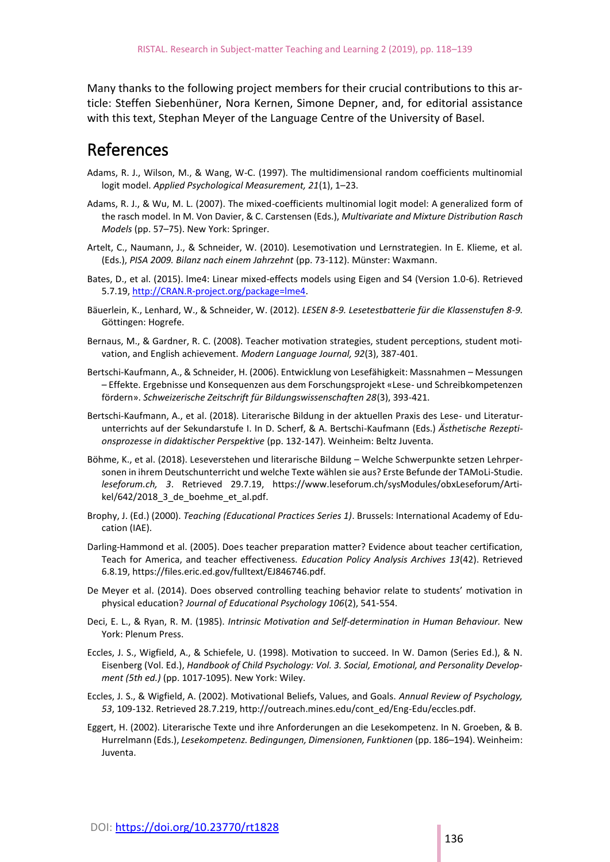Many thanks to the following project members for their crucial contributions to this article: Steffen Siebenhüner, Nora Kernen, Simone Depner, and, for editorial assistance with this text, Stephan Meyer of the Language Centre of the University of Basel.

### References

- Adams, R. J., Wilson, M., & Wang, W-C. (1997). The multidimensional random coefficients multinomial logit model. *Applied Psychological Measurement, 21*(1), 1–23.
- Adams, R. J., & Wu, M. L. (2007). The mixed-coefficients multinomial logit model: A generalized form of the rasch model. In M. Von Davier, & C. Carstensen (Eds.), *Multivariate and Mixture Distribution Rasch Models* (pp. 57–75). New York: Springer.
- Artelt, C., Naumann, J., & Schneider, W. (2010). Lesemotivation und Lernstrategien. In E. Klieme, et al. (Eds.), *PISA 2009. Bilanz nach einem Jahrzehnt* (pp. 73-112). Münster: Waxmann.
- Bates, D., et al. (2015). lme4: Linear mixed-effects models using Eigen and S4 (Version 1.0-6). Retrieved 5.7.19, [http://CRAN.R-project.org/package=lme4.](http://cran.r-project.org/package=lme4)
- Bäuerlein, K., Lenhard, W., & Schneider, W. (2012). *LESEN 8-9. Lesetestbatterie für die Klassenstufen 8-9.* Göttingen: Hogrefe.
- Bernaus, M., & Gardner, R. C. (2008). Teacher motivation strategies, student perceptions, student motivation, and English achievement. *Modern Language Journal, 92*(3), 387-401.
- Bertschi-Kaufmann, A., & Schneider, H. (2006). Entwicklung von Lesefähigkeit: Massnahmen Messungen – Effekte. Ergebnisse und Konsequenzen aus dem Forschungsprojekt «Lese- und Schreibkompetenzen fördern». *Schweizerische Zeitschrift für Bildungswissenschaften 28*(3), 393-421.
- Bertschi-Kaufmann, A., et al. (2018). Literarische Bildung in der aktuellen Praxis des Lese- und Literaturunterrichts auf der Sekundarstufe I. In D. Scherf, & A. Bertschi-Kaufmann (Eds.) *Ästhetische Rezeptionsprozesse in didaktischer Perspektive* (pp. 132-147). Weinheim: Beltz Juventa.
- Böhme, K., et al. (2018). Leseverstehen und literarische Bildung Welche Schwerpunkte setzen Lehrpersonen in ihrem Deutschunterricht und welche Texte wählen sie aus? Erste Befunde der TAMoLi-Studie. *leseforum.ch, 3*. Retrieved 29.7.19, https://www.leseforum.ch/sysModules/obxLeseforum/Artikel/642/2018\_3\_de\_boehme\_et\_al.pdf.
- Brophy, J. (Ed.) (2000). *Teaching (Educational Practices Series 1)*. Brussels: International Academy of Education (IAE).
- Darling-Hammond et al. (2005). Does teacher preparation matter? Evidence about teacher certification, Teach for America, and teacher effectiveness. *Education Policy Analysis Archives 13*(42). Retrieved 6.8.19, https://files.eric.ed.gov/fulltext/EJ846746.pdf.
- De Meyer et al. (2014). Does observed controlling teaching behavior relate to students' motivation in physical education? *Journal of Educational Psychology 106*(2), 541-554.
- Deci, E. L., & Ryan, R. M. (1985). *Intrinsic Motivation and Self-determination in Human Behaviour.* New York: Plenum Press.
- Eccles, J. S., Wigfield, A., & Schiefele, U. (1998). Motivation to succeed. In W. Damon (Series Ed.), & N. Eisenberg (Vol. Ed.), *Handbook of Child Psychology: Vol. 3. Social, Emotional, and Personality Development (5th ed.)* (pp. 1017-1095). New York: Wiley.
- Eccles, J. S., & Wigfield, A. (2002). Motivational Beliefs, Values, and Goals. *Annual Review of Psychology, 53*, 109-132. Retrieved 28.7.219, http://outreach.mines.edu/cont\_ed/Eng-Edu/eccles.pdf.
- Eggert, H. (2002). Literarische Texte und ihre Anforderungen an die Lesekompetenz. In N. Groeben, & B. Hurrelmann (Eds.), *Lesekompetenz. Bedingungen, Dimensionen, Funktionen* (pp. 186–194). Weinheim: Juventa.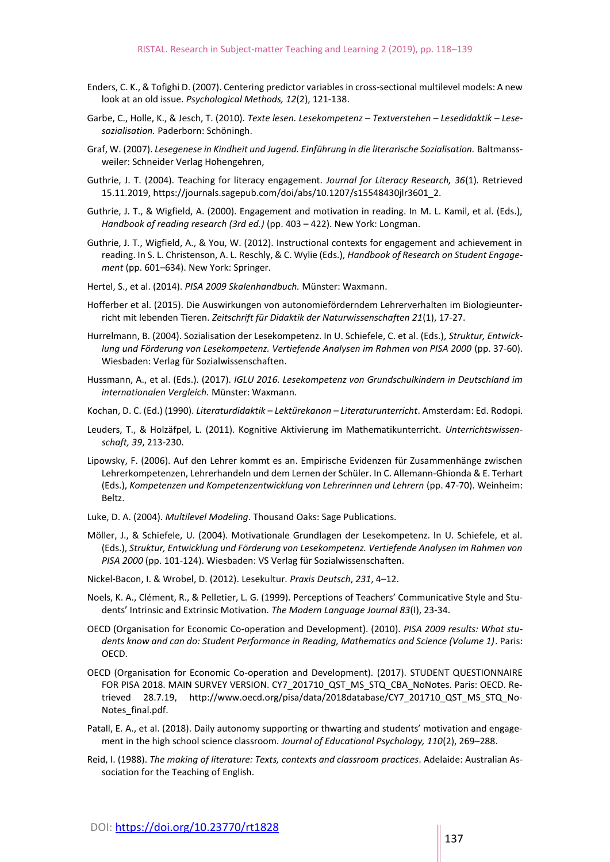- Enders, C. K., & Tofighi D. (2007). Centering predictor variables in cross-sectional multilevel models: A new look at an old issue. *Psychological Methods, 12*(2), 121-138.
- Garbe, C., Holle, K., & Jesch, T. (2010). *Texte lesen. Lesekompetenz – Textverstehen – Lesedidaktik – Lesesozialisation.* Paderborn: Schöningh.
- Graf, W. (2007). *Lesegenese in Kindheit und Jugend. Einführung in die literarische Sozialisation.* Baltmanssweiler: Schneider Verlag Hohengehren,
- Guthrie, J. T. (2004). Teaching for literacy engagement. *Journal for Literacy Research, 36*(1)*.* Retrieved 15.11.2019, https://journals.sagepub.com/doi/abs/10.1207/s15548430jlr3601\_2.
- Guthrie, J. T., & Wigfield, A. (2000). Engagement and motivation in reading. In M. L. Kamil, et al. (Eds.), *Handbook of reading research (3rd ed.)* (pp. 403 – 422). New York: Longman.
- Guthrie, J. T., Wigfield, A., & You, W. (2012). Instructional contexts for engagement and achievement in reading. In S. L. Christenson, A. L. Reschly, & C. Wylie (Eds.), *Handbook of Research on Student Engagement* (pp. 601–634). New York: Springer.
- Hertel, S., et al. (2014). *PISA 2009 Skalenhandbuch.* Münster: Waxmann.
- Hofferber et al. (2015). Die Auswirkungen von autonomieförderndem Lehrerverhalten im Biologieunterricht mit lebenden Tieren. *Zeitschrift für Didaktik der Naturwissenschaften 21*(1), 17-27.
- Hurrelmann, B. (2004). Sozialisation der Lesekompetenz. In U. Schiefele, C. et al. (Eds.), *Struktur, Entwicklung und Förderung von Lesekompetenz. Vertiefende Analysen im Rahmen von PISA 2000* (pp. 37-60). Wiesbaden: Verlag für Sozialwissenschaften.
- Hussmann, A., et al. (Eds.). (2017). *IGLU 2016. Lesekompetenz von Grundschulkindern in Deutschland im internationalen Vergleich.* Münster: Waxmann.
- Kochan, D. C. (Ed.) (1990). *Literaturdidaktik – Lektürekanon – Literaturunterricht*. Amsterdam: Ed. Rodopi.
- Leuders, T., & Holzäfpel, L. (2011). Kognitive Aktivierung im Mathematikunterricht. *Unterrichtswissenschaft, 39*, 213-230.
- Lipowsky, F. (2006). Auf den Lehrer kommt es an. Empirische Evidenzen für Zusammenhänge zwischen Lehrerkompetenzen, Lehrerhandeln und dem Lernen der Schüler. In C. Allemann-Ghionda & E. Terhart (Eds.), *Kompetenzen und Kompetenzentwicklung von Lehrerinnen und Lehrern* (pp. 47-70). Weinheim: Beltz.
- Luke, D. A. (2004). *Multilevel Modeling*. Thousand Oaks: Sage Publications.
- Möller, J., & Schiefele, U. (2004). Motivationale Grundlagen der Lesekompetenz. In U. Schiefele, et al. (Eds.), *Struktur, Entwicklung und Förderung von Lesekompetenz. Vertiefende Analysen im Rahmen von PISA 2000* (pp. 101-124). Wiesbaden: VS Verlag für Sozialwissenschaften.
- Nickel-Bacon, I. & Wrobel, D. (2012). Lesekultur. *Praxis Deutsch*, *231*, 4–12.
- Noels, K. A., Clément, R., & Pelletier, L. G. (1999). Perceptions of Teachers' Communicative Style and Students' Intrinsic and Extrinsic Motivation. *The Modern Language Journal 83*(I), 23-34.
- OECD (Organisation for Economic Co-operation and Development). (2010). *PISA 2009 results: What students know and can do: Student Performance in Reading, Mathematics and Science (Volume 1)*. Paris: OECD.
- OECD (Organisation for Economic Co-operation and Development). (2017). STUDENT QUESTIONNAIRE FOR PISA 2018. MAIN SURVEY VERSION. CY7\_201710\_QST\_MS\_STQ\_CBA\_NoNotes. Paris: OECD. Retrieved 28.7.19, http://www.oecd.org/pisa/data/2018database/CY7\_201710\_QST\_MS\_STQ\_No-Notes\_final.pdf.
- Patall, E. A., et al. (2018). Daily autonomy supporting or thwarting and students' motivation and engagement in the high school science classroom. *Journal of Educational Psychology, 110*(2), 269–288.
- Reid, I. (1988). *The making of literature: Texts, contexts and classroom practices*. Adelaide: Australian Association for the Teaching of English.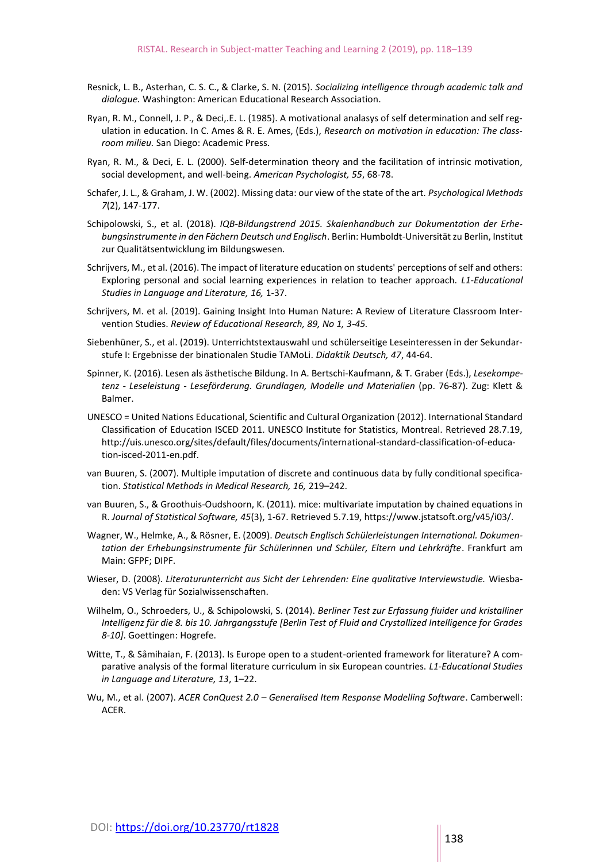- Resnick, L. B., Asterhan, C. S. C., & Clarke, S. N. (2015). *Socializing intelligence through academic talk and dialogue.* Washington: American Educational Research Association.
- Ryan, R. M., Connell, J. P., & Deci,.E. L. (1985). A motivational analasys of self determination and self regulation in education. In C. Ames & R. E. Ames, (Eds.), *Research on motivation in education: The classroom milieu.* San Diego: Academic Press.
- Ryan, R. M., & Deci, E. L. (2000). Self-determination theory and the facilitation of intrinsic motivation, social development, and well-being. *American Psychologist, 55*, 68-78.
- Schafer, J. L., & Graham, J. W. (2002). Missing data: our view of the state of the art. *Psychological Methods 7*(2), 147-177.
- Schipolowski, S., et al. (2018). *IQB-Bildungstrend 2015. Skalenhandbuch zur Dokumentation der Erhebungsinstrumente in den Fächern Deutsch und Englisch*. Berlin: Humboldt-Universität zu Berlin, Institut zur Qualitätsentwicklung im Bildungswesen.
- Schrijvers, M., et al. (2016). The impact of literature education on students' perceptions of self and others: Exploring personal and social learning experiences in relation to teacher approach. *L1-Educational Studies in Language and Literature, 16,* 1-37.
- Schrijvers, M. et al. (2019). Gaining Insight Into Human Nature: A Review of Literature Classroom Intervention Studies. *Review of Educational Research, 89, No 1, 3-45.*
- Siebenhüner, S., et al. (2019). Unterrichtstextauswahl und schülerseitige Leseinteressen in der Sekundarstufe I: Ergebnisse der binationalen Studie TAMoLi. *Didaktik Deutsch, 47*, 44-64.
- Spinner, K. (2016). Lesen als ästhetische Bildung. In A. Bertschi-Kaufmann, & T. Graber (Eds.), *Lesekompetenz - Leseleistung - Leseförderung. Grundlagen, Modelle und Materialien* (pp. 76-87). Zug: Klett & Balmer.
- UNESCO = United Nations Educational, Scientific and Cultural Organization (2012). International Standard Classification of Education ISCED 2011. UNESCO Institute for Statistics, Montreal. Retrieved 28.7.19, http://uis.unesco.org/sites/default/files/documents/international-standard-classification-of-education-isced-2011-en.pdf.
- van Buuren, S. (2007). Multiple imputation of discrete and continuous data by fully conditional specification. *Statistical Methods in Medical Research, 16,* 219–242.
- van Buuren, S., & Groothuis-Oudshoorn, K. (2011). mice: multivariate imputation by chained equations in R. *Journal of Statistical Software, 45*(3), 1-67. Retrieved 5.7.19, https://www.jstatsoft.org/v45/i03/.
- Wagner, W., Helmke, A., & Rösner, E. (2009). *Deutsch Englisch Schülerleistungen International. Dokumentation der Erhebungsinstrumente für Schülerinnen und Schüler, Eltern und Lehrkräfte*. Frankfurt am Main: GFPF; DIPF.
- Wieser, D. (2008). *Literaturunterricht aus Sicht der Lehrenden: Eine qualitative Interviewstudie.* Wiesbaden: VS Verlag für Sozialwissenschaften.
- Wilhelm, O., Schroeders, U., & Schipolowski, S. (2014). *Berliner Test zur Erfassung fluider und kristalliner Intelligenz für die 8. bis 10. Jahrgangsstufe [Berlin Test of Fluid and Crystallized Intelligence for Grades 8-10]*. Goettingen: Hogrefe.
- Witte, T., & Sâmihaian, F. (2013). Is Europe open to a student-oriented framework for literature? A comparative analysis of the formal literature curriculum in six European countries. *L1-Educational Studies in Language and Literature, 13*, 1–22.
- Wu, M., et al. (2007). *ACER ConQuest 2.0 – Generalised Item Response Modelling Software*. Camberwell: ACER.